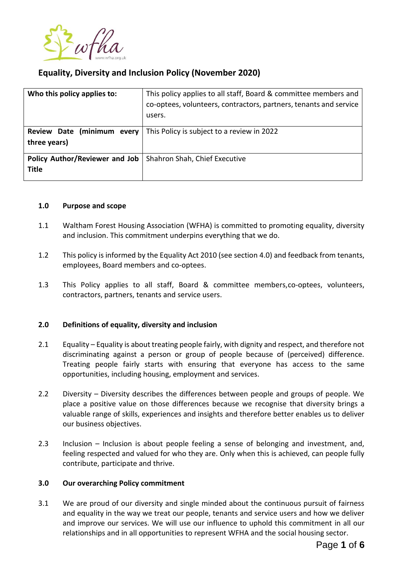

# **Equality, Diversity and Inclusion Policy (November 2020)**

| Who this policy applies to:                    | This policy applies to all staff, Board & committee members and<br>co-optees, volunteers, contractors, partners, tenants and service<br>users. |
|------------------------------------------------|------------------------------------------------------------------------------------------------------------------------------------------------|
| Review Date (minimum every<br>three years)     | This Policy is subject to a review in 2022                                                                                                     |
| Policy Author/Reviewer and Job<br><b>Title</b> | Shahron Shah, Chief Executive                                                                                                                  |

#### **1.0 Purpose and scope**

- 1.1 Waltham Forest Housing Association (WFHA) is committed to promoting equality, diversity and inclusion. This commitment underpins everything that we do.
- 1.2 This policy is informed by the Equality Act 2010 (see section 4.0) and feedback from tenants, employees, Board members and co-optees.
- 1.3 This Policy applies to all staff, Board & committee members,co-optees, volunteers, contractors, partners, tenants and service users.

## **2.0 Definitions of equality, diversity and inclusion**

- 2.1 Equality Equality is about treating people fairly, with dignity and respect, and therefore not discriminating against a person or group of people because of (perceived) difference. Treating people fairly starts with ensuring that everyone has access to the same opportunities, including housing, employment and services.
- 2.2 Diversity Diversity describes the differences between people and groups of people. We place a positive value on those differences because we recognise that diversity brings a valuable range of skills, experiences and insights and therefore better enables us to deliver our business objectives.
- 2.3 Inclusion Inclusion is about people feeling a sense of belonging and investment, and, feeling respected and valued for who they are. Only when this is achieved, can people fully contribute, participate and thrive.

## **3.0 Our overarching Policy commitment**

3.1 We are proud of our diversity and single minded about the continuous pursuit of fairness and equality in the way we treat our people, tenants and service users and how we deliver and improve our services. We will use our influence to uphold this commitment in all our relationships and in all opportunities to represent WFHA and the social housing sector.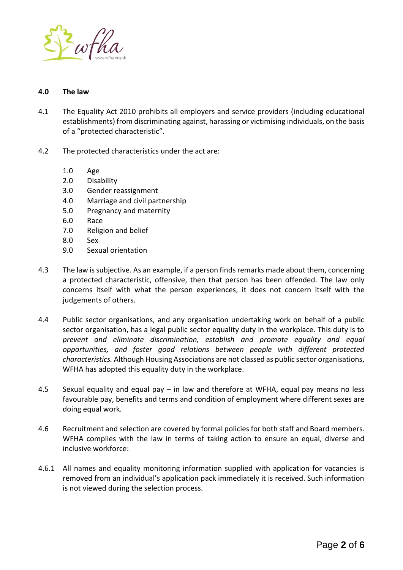

#### **4.0 The law**

- 4.1 The Equality Act 2010 prohibits all employers and service providers (including educational establishments) from discriminating against, harassing or victimising individuals, on the basis of a "protected characteristic".
- 4.2 The protected characteristics under the act are:
	- 1.0 Age
	- 2.0 Disability
	- 3.0 Gender reassignment
	- 4.0 Marriage and civil partnership
	- 5.0 Pregnancy and maternity
	- 6.0 Race
	- 7.0 Religion and belief
	- 8.0 Sex
	- 9.0 Sexual orientation
- 4.3 The law is subjective. As an example, if a person finds remarks made about them, concerning a protected characteristic, offensive, then that person has been offended. The law only concerns itself with what the person experiences, it does not concern itself with the judgements of others.
- 4.4 Public sector organisations, and any organisation undertaking work on behalf of a public sector organisation, has a legal public sector equality duty in the workplace. This duty is to *prevent and eliminate discrimination, establish and promote equality and equal opportunities, and foster good relations between people with different protected characteristics.* Although Housing Associations are not classed as public sector organisations, WFHA has adopted this equality duty in the workplace.
- 4.5 Sexual equality and equal pay in law and therefore at WFHA, equal pay means no less favourable pay, benefits and terms and condition of employment where different sexes are doing equal work.
- 4.6 Recruitment and selection are covered by formal policies for both staff and Board members. WFHA complies with the law in terms of taking action to ensure an equal, diverse and inclusive workforce:
- 4.6.1 All names and equality monitoring information supplied with application for vacancies is removed from an individual's application pack immediately it is received. Such information is not viewed during the selection process.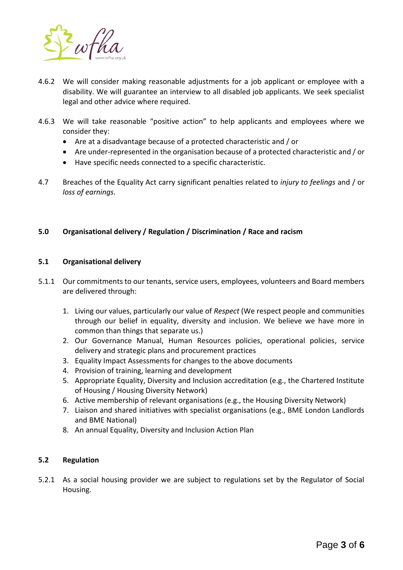

- 4.6.2 We will consider making reasonable adjustments for a job applicant or employee with a disability. We will guarantee an interview to all disabled job applicants. We seek specialist legal and other advice where required.
- 4.6.3 We will take reasonable "positive action" to help applicants and employees where we consider they:
	- Are at a disadvantage because of a protected characteristic and / or
	- Are under-represented in the organisation because of a protected characteristic and / or
	- Have specific needs connected to a specific characteristic.
- 4.7 Breaches of the Equality Act carry significant penalties related to *injury to feelings* and / or *loss of earnings.*

# **5.0 Organisational delivery / Regulation / Discrimination / Race and racism**

## **5.1 Organisational delivery**

- 5.1.1 Our commitments to our tenants, service users, employees, volunteers and Board members are delivered through:
	- 1. Living our values, particularly our value of *Respect* (We respect people and communities through our belief in equality, diversity and inclusion. We believe we have more in common than things that separate us.)
	- 2. Our Governance Manual, Human Resources policies, operational policies, service delivery and strategic plans and procurement practices
	- 3. Equality Impact Assessments for changes to the above documents
	- 4. Provision of training, learning and development
	- 5. Appropriate Equality, Diversity and Inclusion accreditation (e.g., the Chartered Institute of Housing / Housing Diversity Network)
	- 6. Active membership of relevant organisations (e.g., the Housing Diversity Network)
	- 7. Liaison and shared initiatives with specialist organisations (e.g., BME London Landlords and BME National)
	- 8. An annual Equality, Diversity and Inclusion Action Plan

## **5.2 Regulation**

5.2.1 As a social housing provider we are subject to regulations set by the Regulator of Social Housing.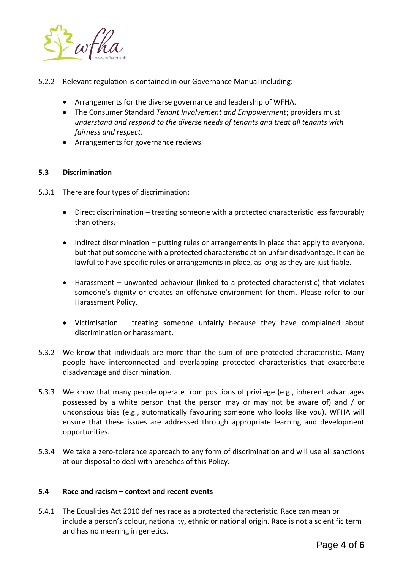

- 5.2.2 Relevant regulation is contained in our Governance Manual including:
	- Arrangements for the diverse governance and leadership of WFHA.
	- The Consumer Standard *Tenant Involvement and Empowerment*; providers must *understand and respond to the diverse needs of tenants and treat all tenants with fairness and respect*.
	- Arrangements for governance reviews.

# **5.3 Discrimination**

- 5.3.1 There are four types of discrimination:
	- Direct discrimination treating someone with a protected characteristic less favourably than others.
	- Indirect discrimination putting rules or arrangements in place that apply to everyone, but that put someone with a protected characteristic at an unfair disadvantage. It can be lawful to have specific rules or arrangements in place, as long as they are justifiable.
	- Harassment unwanted behaviour (linked to a protected characteristic) that violates someone's dignity or creates an offensive environment for them. Please refer to our Harassment Policy.
	- Victimisation treating someone unfairly because they have complained about discrimination or harassment.
- 5.3.2 We know that individuals are more than the sum of one protected characteristic. Many people have interconnected and overlapping protected characteristics that exacerbate disadvantage and discrimination.
- 5.3.3 We know that many people operate from positions of privilege (e.g., inherent advantages possessed by a white person that the person may or may not be aware of) and / or unconscious bias (e.g., automatically favouring someone who looks like you). WFHA will ensure that these issues are addressed through appropriate learning and development opportunities.
- 5.3.4 We take a zero-tolerance approach to any form of discrimination and will use all sanctions at our disposal to deal with breaches of this Policy.

## **5.4 Race and racism – context and recent events**

5.4.1 The Equalities Act 2010 defines race as a protected characteristic. Race can mean or include a person's colour, nationality, ethnic or national origin. Race is not a scientific term and has no meaning in genetics.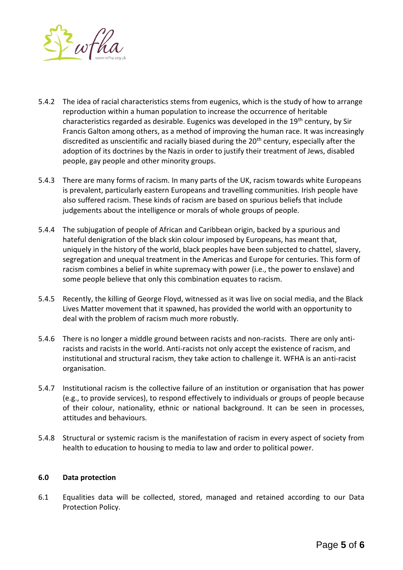

- 5.4.2 The idea of racial characteristics stems from eugenics, which is the study of how to arrange reproduction within a human population to increase the occurrence of heritable characteristics regarded as desirable. Eugenics was developed in the 19<sup>th</sup> century, by Sir Francis Galton among others, as a method of improving the human race. It was increasingly discredited as unscientific and racially biased during the  $20<sup>th</sup>$  century, especially after the adoption of its doctrines by the Nazis in order to justify their treatment of Jews, disabled people, gay people and other minority groups.
- 5.4.3 There are many forms of racism. In many parts of the UK, racism towards white Europeans is prevalent, particularly eastern Europeans and travelling communities. Irish people have also suffered racism. These kinds of racism are based on spurious beliefs that include judgements about the intelligence or morals of whole groups of people.
- 5.4.4 The subjugation of people of African and Caribbean origin, backed by a spurious and hateful denigration of the black skin colour imposed by Europeans, has meant that, uniquely in the history of the world, black peoples have been subjected to chattel, slavery, segregation and unequal treatment in the Americas and Europe for centuries. This form of racism combines a belief in white supremacy with power (i.e., the power to enslave) and some people believe that only this combination equates to racism.
- 5.4.5 Recently, the killing of George Floyd, witnessed as it was live on social media, and the Black Lives Matter movement that it spawned, has provided the world with an opportunity to deal with the problem of racism much more robustly.
- 5.4.6 There is no longer a middle ground between racists and non-racists. There are only antiracists and racists in the world. Anti-racists not only accept the existence of racism, and institutional and structural racism, they take action to challenge it. WFHA is an anti-racist organisation.
- 5.4.7 Institutional racism is the collective failure of an institution or organisation that has power (e.g., to provide services), to respond effectively to individuals or groups of people because of their colour, nationality, ethnic or national background. It can be seen in processes, attitudes and behaviours.
- 5.4.8 Structural or systemic racism is the manifestation of racism in every aspect of society from health to education to housing to media to law and order to political power.

## **6.0 Data protection**

6.1 Equalities data will be collected, stored, managed and retained according to our Data Protection Policy.